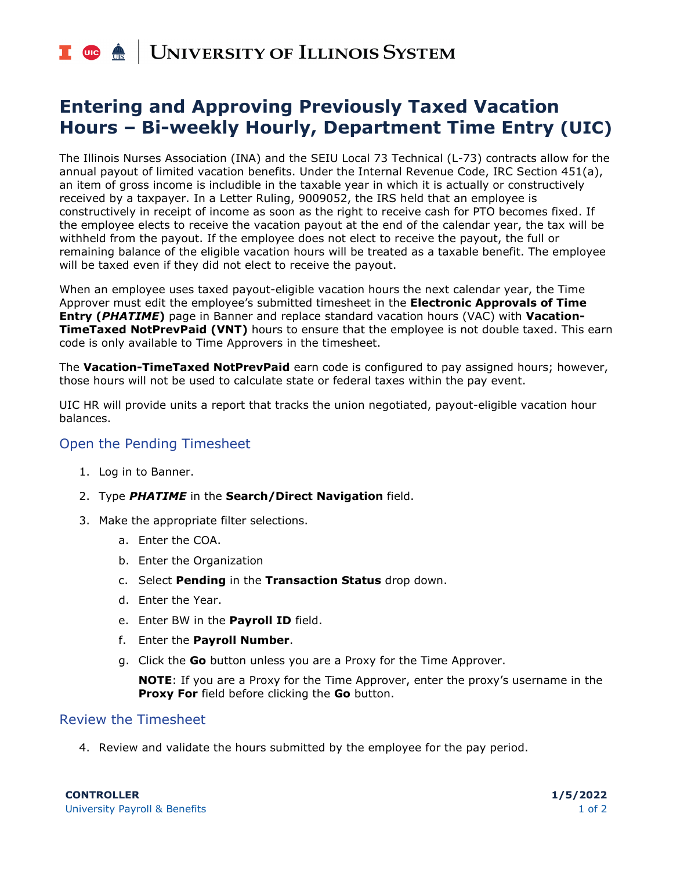# I **C**  $\triangle$  UNIVERSITY OF ILLINOIS SYSTEM

### **Entering and Approving Previously Taxed Vacation Hours – Bi-weekly Hourly, Department Time Entry (UIC)**

The Illinois Nurses Association (INA) and the SEIU Local 73 Technical (L-73) contracts allow for the annual payout of limited vacation benefits. Under the Internal Revenue Code, IRC Section 451(a), an item of gross income is includible in the taxable year in which it is actually or constructively received by a taxpayer. In a Letter Ruling, 9009052, the IRS held that an employee is constructively in receipt of income as soon as the right to receive cash for PTO becomes fixed. If the employee elects to receive the vacation payout at the end of the calendar year, the tax will be withheld from the payout. If the employee does not elect to receive the payout, the full or remaining balance of the eligible vacation hours will be treated as a taxable benefit. The employee will be taxed even if they did not elect to receive the payout.

When an employee uses taxed payout-eligible vacation hours the next calendar year, the Time Approver must edit the employee's submitted timesheet in the **Electronic Approvals of Time Entry (***PHATIME***)** page in Banner and replace standard vacation hours (VAC) with **Vacation-TimeTaxed NotPrevPaid (VNT)** hours to ensure that the employee is not double taxed. This earn code is only available to Time Approvers in the timesheet.

The **Vacation-TimeTaxed NotPrevPaid** earn code is configured to pay assigned hours; however, those hours will not be used to calculate state or federal taxes within the pay event.

UIC HR will provide units a report that tracks the union negotiated, payout-eligible vacation hour balances.

### Open the Pending Timesheet

- 1. Log in to Banner.
- 2. Type *PHATIME* in the **Search/Direct Navigation** field.
- 3. Make the appropriate filter selections.
	- a. Enter the COA.
	- b. Enter the Organization
	- c. Select **Pending** in the **Transaction Status** drop down.
	- d. Enter the Year.
	- e. Enter BW in the **Payroll ID** field.
	- f. Enter the **Payroll Number**.
	- g. Click the **Go** button unless you are a Proxy for the Time Approver.

**NOTE**: If you are a Proxy for the Time Approver, enter the proxy's username in the **Proxy For** field before clicking the **Go** button.

### Review the Timesheet

4. Review and validate the hours submitted by the employee for the pay period.